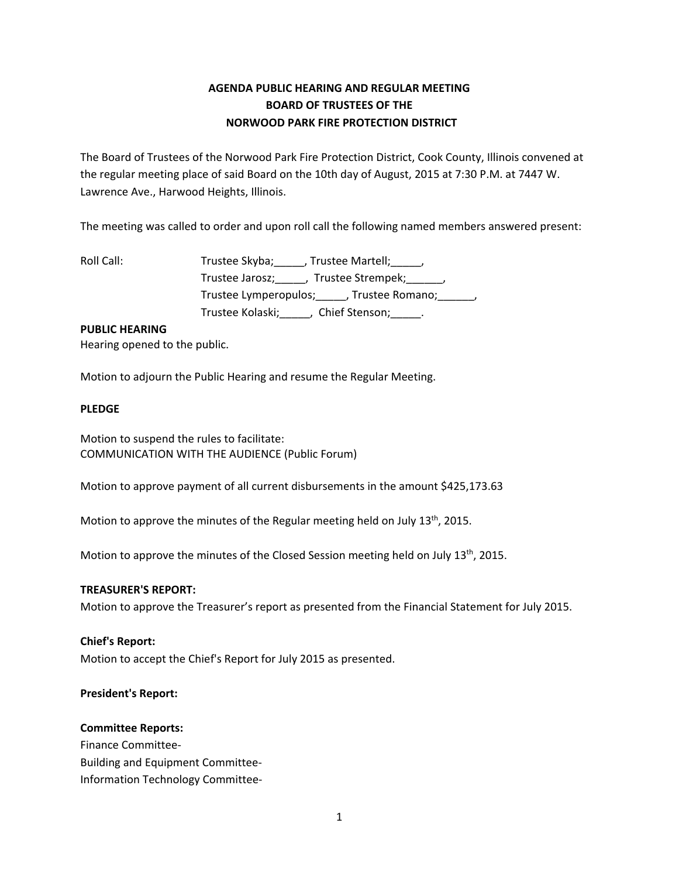# **AGENDA PUBLIC HEARING AND REGULAR MEETING BOARD OF TRUSTEES OF THE NORWOOD PARK FIRE PROTECTION DISTRICT**

The Board of Trustees of the Norwood Park Fire Protection District, Cook County, Illinois convened at the regular meeting place of said Board on the 10th day of August, 2015 at 7:30 P.M. at 7447 W. Lawrence Ave., Harwood Heights, Illinois.

The meeting was called to order and upon roll call the following named members answered present:

| Roll Call: | Trustee Skyba;<br>, Trustee Martell;         ,         |
|------------|--------------------------------------------------------|
|            | Trustee Jarosz;<br>, Trustee Strempek; ______,         |
|            | Trustee Lymperopulos; ______, Trustee Romano; _______, |
|            | Trustee Kolaski;<br>Chief Stenson; Languard            |

# **PUBLIC HEARING**

Hearing opened to the public.

Motion to adjourn the Public Hearing and resume the Regular Meeting.

## **PLEDGE**

Motion to suspend the rules to facilitate: COMMUNICATION WITH THE AUDIENCE (Public Forum)

Motion to approve payment of all current disbursements in the amount \$425,173.63

Motion to approve the minutes of the Regular meeting held on July  $13<sup>th</sup>$ , 2015.

Motion to approve the minutes of the Closed Session meeting held on July  $13<sup>th</sup>$ , 2015.

#### **TREASURER'S REPORT:**

Motion to approve the Treasurer's report as presented from the Financial Statement for July 2015.

#### **Chief's Report:**

Motion to accept the Chief's Report for July 2015 as presented.

# **President's Report:**

### **Committee Reports:**

Finance Committee-Building and Equipment Committee-Information Technology Committee-